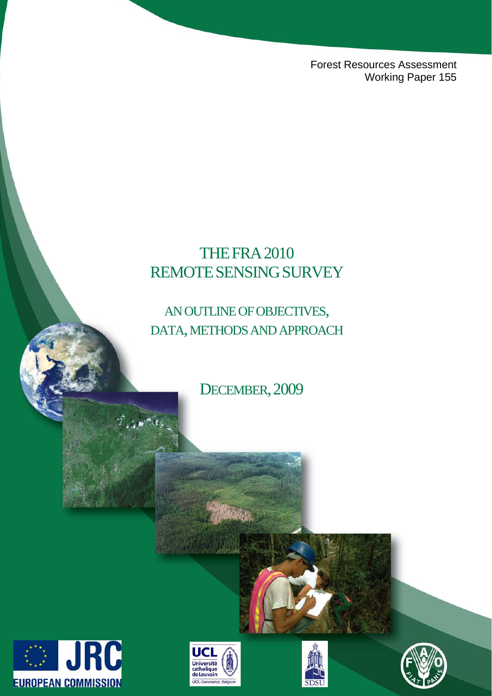Forest Resources Assessment Working Paper 155

# **THE FRA 2010** REMOTESENSINGSURVEY

# AN OUTLINE OF OBJECTIVES, DATA, METHODS AND APPROACH

DECEMBER, 2009







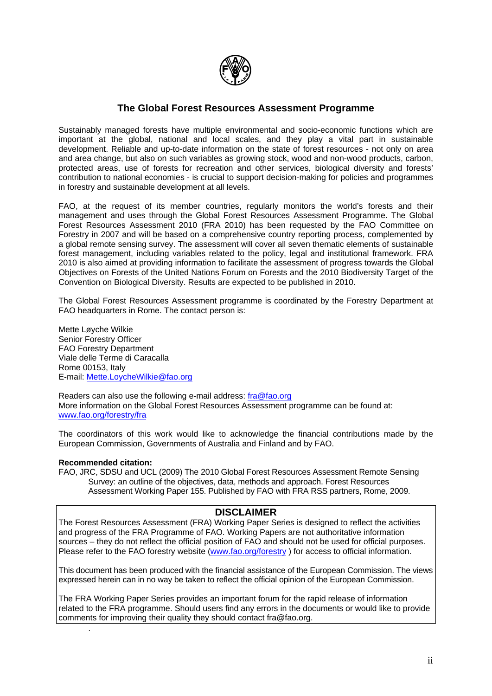

# **The Global Forest Resources Assessment Programme**

Sustainably managed forests have multiple environmental and socio-economic functions which are important at the global, national and local scales, and they play a vital part in sustainable development. Reliable and up-to-date information on the state of forest resources - not only on area and area change, but also on such variables as growing stock, wood and non-wood products, carbon, protected areas, use of forests for recreation and other services, biological diversity and forests' contribution to national economies - is crucial to support decision-making for policies and programmes in forestry and sustainable development at all levels.

FAO, at the request of its member countries, regularly monitors the world's forests and their management and uses through the Global Forest Resources Assessment Programme. The Global Forest Resources Assessment 2010 (FRA 2010) has been requested by the FAO Committee on Forestry in 2007 and will be based on a comprehensive country reporting process, complemented by a global remote sensing survey. The assessment will cover all seven thematic elements of sustainable forest management, including variables related to the policy, legal and institutional framework. FRA 2010 is also aimed at providing information to facilitate the assessment of progress towards the Global Objectives on Forests of the United Nations Forum on Forests and the 2010 Biodiversity Target of the Convention on Biological Diversity. Results are expected to be published in 2010.

The Global Forest Resources Assessment programme is coordinated by the Forestry Department at FAO headquarters in Rome. The contact person is:

Mette Løyche Wilkie Senior Forestry Officer FAO Forestry Department Viale delle Terme di Caracalla Rome 00153, Italy E-mail: [Mette.LoycheWilkie@fao.org](mailto:Mette.LoycheWilkie@fao.org)

Readers can also use the following e-mail address: [fra@fao.org](mailto:fra@fao.org)  More information on the Global Forest Resources Assessment programme can be found at: [www.fao.org/forestry/fra](http://www.fao.org/forestry/fra)

The coordinators of this work would like to acknowledge the financial contributions made by the European Commission, Governments of Australia and Finland and by FAO.

#### **Recommended citation:**

.

FAO, JRC, SDSU and UCL (2009) The 2010 Global Forest Resources Assessment Remote Sensing Survey: an outline of the objectives, data, methods and approach. Forest Resources Assessment Working Paper 155. Published by FAO with FRA RSS partners, Rome, 2009.

### **DISCLAIMER**

The Forest Resources Assessment (FRA) Working Paper Series is designed to reflect the activities and progress of the FRA Programme of FAO. Working Papers are not authoritative information sources – they do not reflect the official position of FAO and should not be used for official purposes. Please refer to the FAO forestry website (www.fao.org/forestry) for access to official information.

This document has been produced with the financial assistance of the European Commission. The views expressed herein can in no way be taken to reflect the official opinion of the European Commission.

The FRA Working Paper Series provides an important forum for the rapid release of information related to the FRA programme. Should users find any errors in the documents or would like to provide comments for improving their quality they should contact fra@fao.org.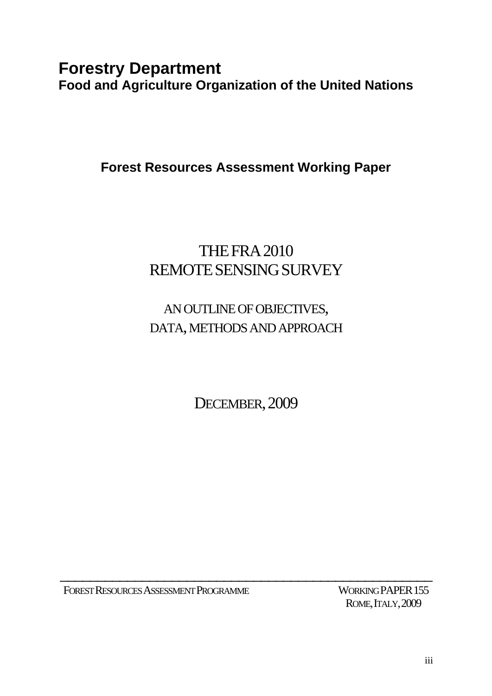# **Forestry Department Food and Agriculture Organization of the United Nations**

**Forest Resources Assessment Working Paper** 

# THEFRA2010 REMOTESENSINGSURVEY

# AN OUTLINE OF OBJECTIVES, DATA, METHODS AND APPROACH

DECEMBER, 2009

\_\_\_\_\_\_\_\_\_\_\_\_\_\_\_\_\_\_\_\_\_\_\_\_\_\_\_\_\_\_\_\_\_\_\_\_\_\_\_\_\_\_\_\_\_\_\_\_\_\_

FOREST RESOURCES ASSESSMENT PROGRAMME WORKING PAPER 155

ROME, ITALY, 2009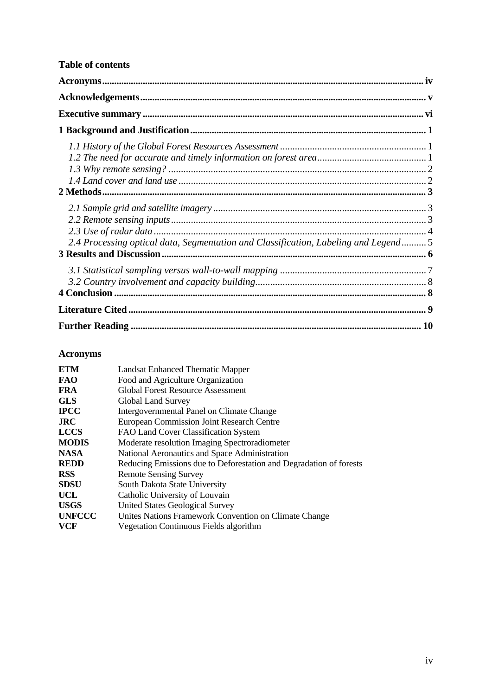# <span id="page-3-0"></span>**Table of contents**

| 2.4 Processing optical data, Segmentation and Classification, Labeling and Legend5 |  |
|------------------------------------------------------------------------------------|--|
|                                                                                    |  |
|                                                                                    |  |
|                                                                                    |  |

# **Acronyms**

| <b>ETM</b>    | Landsat Enhanced Thematic Mapper                                   |  |  |
|---------------|--------------------------------------------------------------------|--|--|
| <b>FAO</b>    | Food and Agriculture Organization                                  |  |  |
| <b>FRA</b>    | <b>Global Forest Resource Assessment</b>                           |  |  |
| <b>GLS</b>    | Global Land Survey                                                 |  |  |
| <b>IPCC</b>   | Intergovernmental Panel on Climate Change                          |  |  |
| <b>JRC</b>    | <b>European Commission Joint Research Centre</b>                   |  |  |
| <b>LCCS</b>   | FAO Land Cover Classification System                               |  |  |
| <b>MODIS</b>  | Moderate resolution Imaging Spectroradiometer                      |  |  |
| <b>NASA</b>   | National Aeronautics and Space Administration                      |  |  |
| <b>REDD</b>   | Reducing Emissions due to Deforestation and Degradation of forests |  |  |
| <b>RSS</b>    | <b>Remote Sensing Survey</b>                                       |  |  |
| <b>SDSU</b>   | South Dakota State University                                      |  |  |
| <b>UCL</b>    | Catholic University of Louvain                                     |  |  |
| <b>USGS</b>   | <b>United States Geological Survey</b>                             |  |  |
| <b>UNFCCC</b> | Unites Nations Framework Convention on Climate Change              |  |  |
| <b>VCF</b>    | Vegetation Continuous Fields algorithm                             |  |  |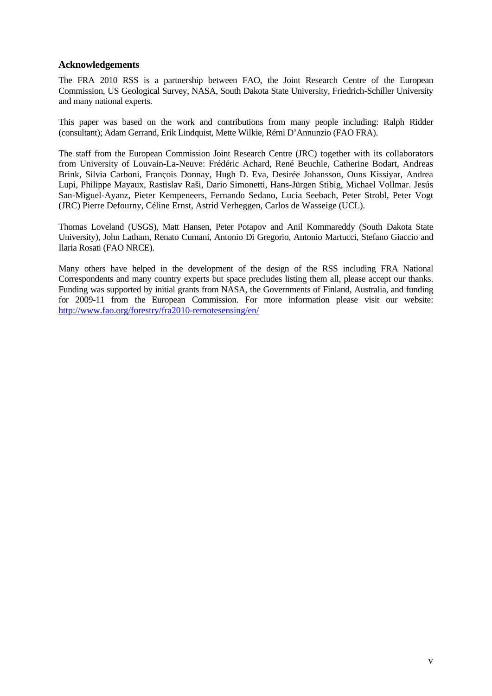## <span id="page-4-0"></span>**Acknowledgements**

The FRA 2010 RSS is a partnership between FAO, the Joint Research Centre of the European Commission, US Geological Survey, NASA, South Dakota State University, Friedrich-Schiller University and many national experts.

This paper was based on the work and contributions from many people including: Ralph Ridder (consultant); Adam Gerrand, Erik Lindquist, Mette Wilkie, Rémi D'Annunzio (FAO FRA).

The staff from the European Commission Joint Research Centre (JRC) together with its collaborators from University of Louvain-La-Neuve: Frédéric Achard, René Beuchle, Catherine Bodart, Andreas Brink, Silvia Carboni, François Donnay, Hugh D. Eva, Desirée Johansson, Ouns Kissiyar, Andrea Lupi, Philippe Mayaux, Rastislav Raši, Dario Simonetti, Hans-Jürgen Stibig, Michael Vollmar. Jesús San-Miguel-Ayanz, Pieter Kempeneers, Fernando Sedano, Lucia Seebach, Peter Strobl, Peter Vogt (JRC) Pierre Defourny, Céline Ernst, Astrid Verheggen, Carlos de Wasseige (UCL).

Thomas Loveland (USGS), Matt Hansen, Peter Potapov and Anil Kommareddy (South Dakota State University), John Latham, Renato Cumani, Antonio Di Gregorio, Antonio Martucci, Stefano Giaccio and Ilaria Rosati (FAO NRCE).

Many others have helped in the development of the design of the RSS including FRA National Correspondents and many country experts but space precludes listing them all, please accept our thanks. Funding was supported by initial grants from NASA, the Governments of Finland, Australia, and funding for 2009-11 from the European Commission. For more information please visit our website: <http://www.fao.org/forestry/fra2010-remotesensing/en/>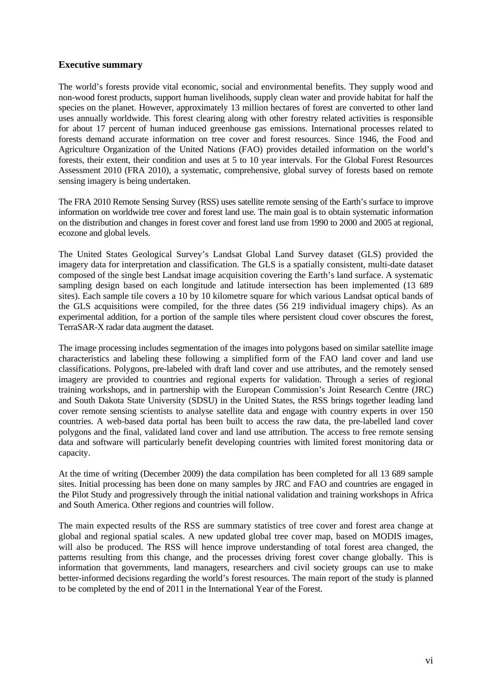## <span id="page-5-0"></span>**Executive summary**

The world's forests provide vital economic, social and environmental benefits. They supply wood and non-wood forest products, support human livelihoods, supply clean water and provide habitat for half the species on the planet. However, approximately 13 million hectares of forest are converted to other land uses annually worldwide. This forest clearing along with other forestry related activities is responsible for about 17 percent of human induced greenhouse gas emissions. International processes related to forests demand accurate information on tree cover and forest resources. Since 1946, the Food and Agriculture Organization of the United Nations (FAO) provides detailed information on the world's forests, their extent, their condition and uses at 5 to 10 year intervals. For the Global Forest Resources Assessment 2010 (FRA 2010), a systematic, comprehensive, global survey of forests based on remote sensing imagery is being undertaken.

The FRA 2010 Remote Sensing Survey (RSS) uses satellite remote sensing of the Earth's surface to improve information on worldwide tree cover and forest land use. The main goal is to obtain systematic information on the distribution and changes in forest cover and forest land use from 1990 to 2000 and 2005 at regional, ecozone and global levels.

The United States Geological Survey's Landsat Global Land Survey dataset (GLS) provided the imagery data for interpretation and classification. The GLS is a spatially consistent, multi-date dataset composed of the single best Landsat image acquisition covering the Earth's land surface. A systematic sampling design based on each longitude and latitude intersection has been implemented (13 689 sites). Each sample tile covers a 10 by 10 kilometre square for which various Landsat optical bands of the GLS acquisitions were compiled, for the three dates (56 219 individual imagery chips). As an experimental addition, for a portion of the sample tiles where persistent cloud cover obscures the forest, TerraSAR-X radar data augment the dataset.

The image processing includes segmentation of the images into polygons based on similar satellite image characteristics and labeling these following a simplified form of the FAO land cover and land use classifications. Polygons, pre-labeled with draft land cover and use attributes, and the remotely sensed imagery are provided to countries and regional experts for validation. Through a series of regional training workshops, and in partnership with the European Commission's Joint Research Centre (JRC) and South Dakota State University (SDSU) in the United States, the RSS brings together leading land cover remote sensing scientists to analyse satellite data and engage with country experts in over 150 countries. A web-based data portal has been built to access the raw data, the pre-labelled land cover polygons and the final, validated land cover and land use attribution. The access to free remote sensing data and software will particularly benefit developing countries with limited forest monitoring data or capacity.

At the time of writing (December 2009) the data compilation has been completed for all 13 689 sample sites. Initial processing has been done on many samples by JRC and FAO and countries are engaged in the Pilot Study and progressively through the initial national validation and training workshops in Africa and South America. Other regions and countries will follow.

The main expected results of the RSS are summary statistics of tree cover and forest area change at global and regional spatial scales. A new updated global tree cover map, based on MODIS images, will also be produced. The RSS will hence improve understanding of total forest area changed, the patterns resulting from this change, and the processes driving forest cover change globally. This is information that governments, land managers, researchers and civil society groups can use to make better-informed decisions regarding the world's forest resources. The main report of the study is planned to be completed by the end of 2011 in the International Year of the Forest.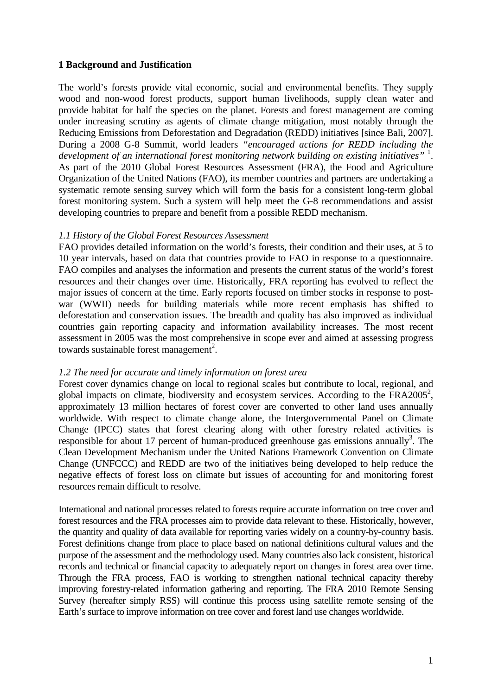# <span id="page-6-0"></span>**1 Background and Justification**

The world's forests provide vital economic, social and environmental benefits. They supply wood and non-wood forest products, support human livelihoods, supply clean water and provide habitat for half the species on the planet. Forests and forest management are coming under increasing scrutiny as agents of climate change mitigation, most notably through the Reducing Emissions from Deforestation and Degradation (REDD) initiatives [since Bali, 2007]. During a 2008 G-8 Summit, world leaders *"encouraged actions for REDD including the*  development of an international forest monitoring network building on existing initiatives" <sup>1</sup>. As part of the 2010 Global Forest Resources Assessment (FRA), the Food and Agriculture Organization of the United Nations (FAO), its member countries and partners are undertaking a systematic remote sensing survey which will form the basis for a consistent long-term global forest monitoring system. Such a system will help meet the G-8 recommendations and assist developing countries to prepare and benefit from a possible REDD mechanism.

### *1.1 History of the Global Forest Resources Assessment*

FAO provides detailed information on the world's forests, their condition and their uses, at 5 to 10 year intervals, based on data that countries provide to FAO in response to a questionnaire. FAO compiles and analyses the information and presents the current status of the world's forest resources and their changes over time. Historically, FRA reporting has evolved to reflect the major issues of concern at the time. Early reports focused on timber stocks in response to postwar (WWII) needs for building materials while more recent emphasis has shifted to deforestation and conservation issues. The breadth and quality has also improved as individual countries gain reporting capacity and information availability increases. The most recent assessment in 2005 was the most comprehensive in scope ever and aimed at assessing progress towards sustainable forest management<sup>2</sup>.

### *1.2 The need for accurate and timely information on forest area*

Forest cover dynamics change on local to regional scales but contribute to local, regional, and global impacts on climate, biodiversity and ecosystem services. According to the  $FRA2005^2$ , approximately 13 million hectares of forest cover are converted to other land uses annually worldwide. With respect to climate change alone, the Intergovernmental Panel on Climate Change (IPCC) states that forest clearing along with other forestry related activities is responsible for about 17 percent of human-produced greenhouse gas emissions annually<sup>3</sup>. The Clean Development Mechanism under the United Nations Framework Convention on Climate Change (UNFCCC) and REDD are two of the initiatives being developed to help reduce the negative effects of forest loss on climate but issues of accounting for and monitoring forest resources remain difficult to resolve.

International and national processes related to forests require accurate information on tree cover and forest resources and the FRA processes aim to provide data relevant to these. Historically, however, the quantity and quality of data available for reporting varies widely on a country-by-country basis. Forest definitions change from place to place based on national definitions cultural values and the purpose of the assessment and the methodology used. Many countries also lack consistent, historical records and technical or financial capacity to adequately report on changes in forest area over time. Through the FRA process, FAO is working to strengthen national technical capacity thereby improving forestry-related information gathering and reporting. The FRA 2010 Remote Sensing Survey (hereafter simply RSS) will continue this process using satellite remote sensing of the Earth's surface to improve information on tree cover and forest land use changes worldwide.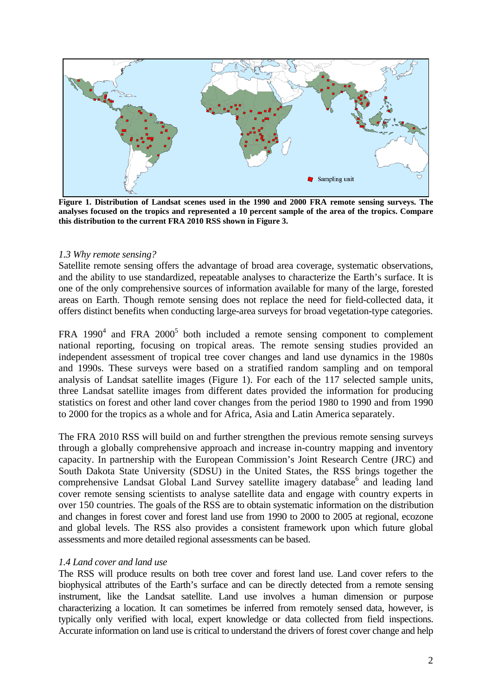<span id="page-7-0"></span>

**Figure 1. Distribution of Landsat scenes used in the 1990 and 2000 FRA remote sensing surveys. The analyses focused on the tropics and represented a 10 percent sample of the area of the tropics. Compare this distribution to the current FRA 2010 RSS shown in Figure 3.** 

#### *1.3 Why remote sensing?*

Satellite remote sensing offers the advantage of broad area coverage, systematic observations, and the ability to use standardized, repeatable analyses to characterize the Earth's surface. It is one of the only comprehensive sources of information available for many of the large, forested areas on Earth. Though remote sensing does not replace the need for field-collected data, it offers distinct benefits when conducting large-area surveys for broad vegetation-type categories.

FRA 1990<sup>4</sup> and FRA 2000<sup>5</sup> both included a remote sensing component to complement national reporting, focusing on tropical areas. The remote sensing studies provided an independent assessment of tropical tree cover changes and land use dynamics in the 1980s and 1990s. These surveys were based on a stratified random sampling and on temporal analysis of Landsat satellite images (Figure 1). For each of the 117 selected sample units, three Landsat satellite images from different dates provided the information for producing statistics on forest and other land cover changes from the period 1980 to 1990 and from 1990 to 2000 for the tropics as a whole and for Africa, Asia and Latin America separately.

The FRA 2010 RSS will build on and further strengthen the previous remote sensing surveys through a globally comprehensive approach and increase in-country mapping and inventory capacity. In partnership with the European Commission's Joint Research Centre (JRC) and South Dakota State University (SDSU) in the United States, the RSS brings together the comprehensive Landsat Global Land Survey satellite imagery database<sup>6</sup> and leading land cover remote sensing scientists to analyse satellite data and engage with country experts in over 150 countries. The goals of the RSS are to obtain systematic information on the distribution and changes in forest cover and forest land use from 1990 to 2000 to 2005 at regional, ecozone and global levels. The RSS also provides a consistent framework upon which future global assessments and more detailed regional assessments can be based.

#### *1.4 Land cover and land use*

The RSS will produce results on both tree cover and forest land use. Land cover refers to the biophysical attributes of the Earth's surface and can be directly detected from a remote sensing instrument, like the Landsat satellite. Land use involves a human dimension or purpose characterizing a location. It can sometimes be inferred from remotely sensed data, however, is typically only verified with local, expert knowledge or data collected from field inspections. Accurate information on land use is critical to understand the drivers of forest cover change and help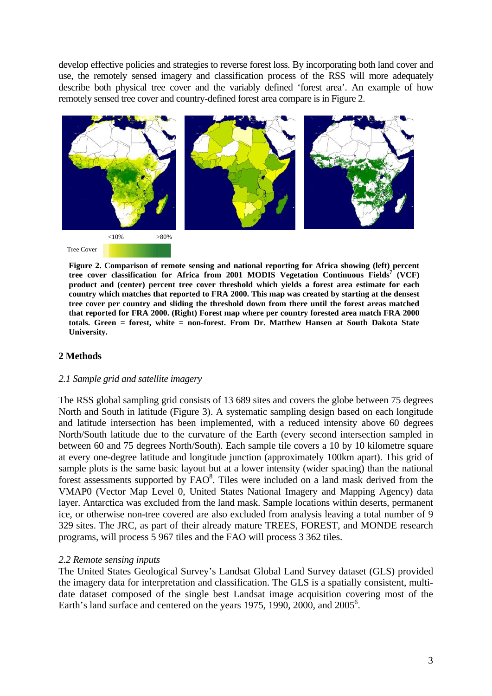<span id="page-8-0"></span>develop effective policies and strategies to reverse forest loss. By incorporating both land cover and use, the remotely sensed imagery and classification process of the RSS will more adequately describe both physical tree cover and the variably defined 'forest area'. An example of how remotely sensed tree cover and country-defined forest area compare is in Figure 2.



**Figure 2. Comparison of remote sensing and national reporting for Africa showing (left) percent**  tree cover classification for Africa from 2001 MODIS Vegetation Continuous Fields<sup>7</sup> (VCF) **product and (center) percent tree cover threshold which yields a forest area estimate for each country which matches that reported to FRA 2000. This map was created by starting at the densest tree cover per country and sliding the threshold down from there until the forest areas matched that reported for FRA 2000. (Right) Forest map where per country forested area match FRA 2000 totals. Green = forest, white = non-forest. From Dr. Matthew Hansen at South Dakota State University.** 

# **2 Methods**

#### *2.1 Sample grid and satellite imagery*

The RSS global sampling grid consists of 13 689 sites and covers the globe between 75 degrees North and South in latitude (Figure 3). A systematic sampling design based on each longitude and latitude intersection has been implemented, with a reduced intensity above 60 degrees North/South latitude due to the curvature of the Earth (every second intersection sampled in between 60 and 75 degrees North/South). Each sample tile covers a 10 by 10 kilometre square at every one-degree latitude and longitude junction (approximately 100km apart). This grid of sample plots is the same basic layout but at a lower intensity (wider spacing) than the national forest assessments supported by  $\text{FAO}^8$ . Tiles were included on a land mask derived from the VMAP0 (Vector Map Level 0, United States National Imagery and Mapping Agency) data layer. Antarctica was excluded from the land mask. Sample locations within deserts, permanent ice, or otherwise non-tree covered are also excluded from analysis leaving a total number of 9 329 sites. The JRC, as part of their already mature TREES, FOREST, and MONDE research programs, will process 5 967 tiles and the FAO will process 3 362 tiles.

#### *2.2 Remote sensing inputs*

The United States Geological Survey's Landsat Global Land Survey dataset (GLS) provided the imagery data for interpretation and classification. The GLS is a spatially consistent, multidate dataset composed of the single best Landsat image acquisition covering most of the Earth's land surface and centered on the years 1975, 1990, 2000, and 2005<sup>6</sup>.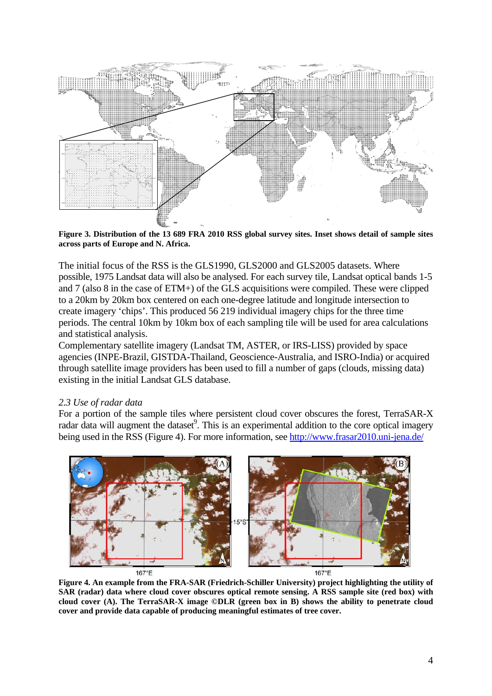<span id="page-9-0"></span>

**Figure 3. Distribution of the 13 689 FRA 2010 RSS global survey sites. Inset shows detail of sample sites across parts of Europe and N. Africa.**

The initial focus of the RSS is the GLS1990, GLS2000 and GLS2005 datasets. Where possible, 1975 Landsat data will also be analysed. For each survey tile, Landsat optical bands 1-5 and 7 (also 8 in the case of ETM+) of the GLS acquisitions were compiled. These were clipped to a 20km by 20km box centered on each one-degree latitude and longitude intersection to create imagery 'chips'. This produced 56 219 individual imagery chips for the three time periods. The central 10km by 10km box of each sampling tile will be used for area calculations and statistical analysis.

Complementary satellite imagery (Landsat TM, ASTER, or IRS-LISS) provided by space agencies (INPE-Brazil, GISTDA-Thailand, Geoscience-Australia, and ISRO-India) or acquired through satellite image providers has been used to fill a number of gaps (clouds, missing data) existing in the initial Landsat GLS database.

# *2.3 Use of radar data*

For a portion of the sample tiles where persistent cloud cover obscures the forest, TerraSAR-X radar data will augment the dataset<sup>9</sup>. This is an experimental addition to the core optical imagery being used in the RSS (Figure 4). For more information, see <http://www.frasar2010.uni-jena.de/>



**Figure 4. An example from the FRA-SAR (Friedrich-Schiller University) project highlighting the utility of SAR (radar) data where cloud cover obscures optical remote sensing. A RSS sample site (red box) with cloud cover (A). The TerraSAR-X image ©DLR (green box in B) shows the ability to penetrate cloud cover and provide data capable of producing meaningful estimates of tree cover.**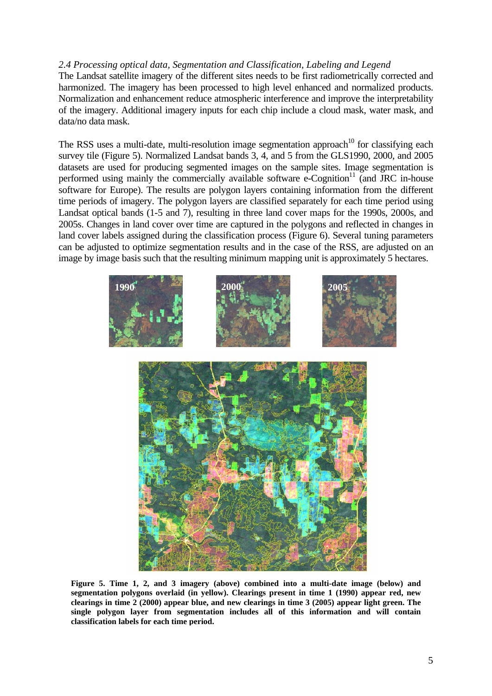# <span id="page-10-0"></span>*2.4 Processing optical data, Segmentation and Classification, Labeling and Legend*

The Landsat satellite imagery of the different sites needs to be first radiometrically corrected and harmonized. The imagery has been processed to high level enhanced and normalized products. Normalization and enhancement reduce atmospheric interference and improve the interpretability of the imagery. Additional imagery inputs for each chip include a cloud mask, water mask, and data/no data mask.

The RSS uses a multi-date, multi-resolution image segmentation approach<sup>10</sup> for classifying each survey tile (Figure 5). Normalized Landsat bands 3, 4, and 5 from the GLS1990, 2000, and 2005 datasets are used for producing segmented images on the sample sites. Image segmentation is performed using mainly the commercially available software  $e$ -Cognition<sup>11</sup> (and JRC in-house software for Europe). The results are polygon layers containing information from the different time periods of imagery. The polygon layers are classified separately for each time period using Landsat optical bands (1-5 and 7), resulting in three land cover maps for the 1990s, 2000s, and 2005s. Changes in land cover over time are captured in the polygons and reflected in changes in land cover labels assigned during the classification process (Figure 6). Several tuning parameters can be adjusted to optimize segmentation results and in the case of the RSS, are adjusted on an image by image basis such that the resulting minimum mapping unit is approximately 5 hectares.





**Figure 5. Time 1, 2, and 3 imagery (above) combined into a multi-date image (below) and segmentation polygons overlaid (in yellow). Clearings present in time 1 (1990) appear red, new clearings in time 2 (2000) appear blue, and new clearings in time 3 (2005) appear light green. The single polygon layer from segmentation includes all of this information and will contain classification labels for each time period.**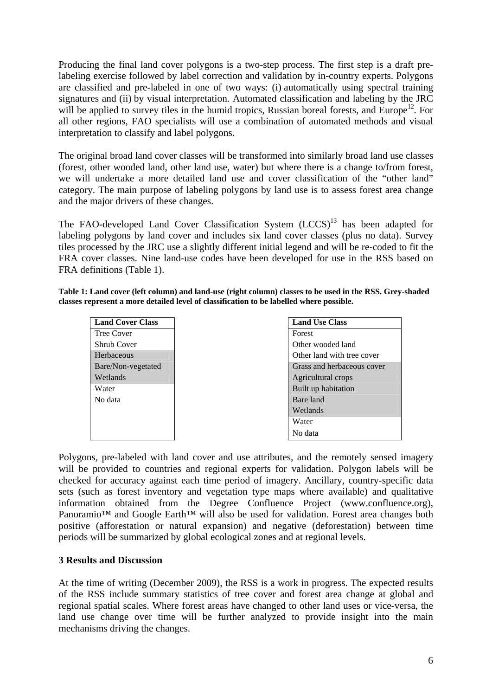<span id="page-11-0"></span>Producing the final land cover polygons is a two-step process. The first step is a draft prelabeling exercise followed by label correction and validation by in-country experts. Polygons are classified and pre-labeled in one of two ways: (i) automatically using spectral training signatures and (ii) by visual interpretation. Automated classification and labeling by the JRC will be applied to survey tiles in the humid tropics, Russian boreal forests, and Europe<sup>12</sup>. For all other regions, FAO specialists will use a combination of automated methods and visual interpretation to classify and label polygons.

The original broad land cover classes will be transformed into similarly broad land use classes (forest, other wooded land, other land use, water) but where there is a change to/from forest, we will undertake a more detailed land use and cover classification of the "other land" category. The main purpose of labeling polygons by land use is to assess forest area change and the major drivers of these changes.

The FAO-developed Land Cover Classification System  $(LCCS)^{13}$  has been adapted for labeling polygons by land cover and includes six land cover classes (plus no data). Survey tiles processed by the JRC use a slightly different initial legend and will be re-coded to fit the FRA cover classes. Nine land-use codes have been developed for use in the RSS based on FRA definitions (Table 1).

**Table 1: Land cover (left column) and land-use (right column) classes to be used in the RSS. Grey-shaded classes represent a more detailed level of classification to be labelled where possible.** 

| <b>Land Cover Class</b> | <b>Land Use Class</b>      |
|-------------------------|----------------------------|
| <b>Tree Cover</b>       | Forest                     |
| Shrub Cover             | Other wooded land          |
| Herbaceous              | Other land with tree cover |
| Bare/Non-vegetated      | Grass and herbaceous cover |
| Wetlands                | Agricultural crops         |
| Water                   | Built up habitation        |
| No data                 | Bare land                  |
|                         | Wetlands                   |
|                         | Water                      |
|                         | No data                    |

Polygons, pre-labeled with land cover and use attributes, and the remotely sensed imagery will be provided to countries and regional experts for validation. Polygon labels will be checked for accuracy against each time period of imagery. Ancillary, country-specific data sets (such as forest inventory and vegetation type maps where available) and qualitative information obtained from the Degree Confluence Project (www.confluence.org), Panoramio<sup>™</sup> and Google Earth<sup>™</sup> will also be used for validation. Forest area changes both positive (afforestation or natural expansion) and negative (deforestation) between time periods will be summarized by global ecological zones and at regional levels.

# **3 Results and Discussion**

At the time of writing (December 2009), the RSS is a work in progress. The expected results of the RSS include summary statistics of tree cover and forest area change at global and regional spatial scales. Where forest areas have changed to other land uses or vice-versa, the land use change over time will be further analyzed to provide insight into the main mechanisms driving the changes.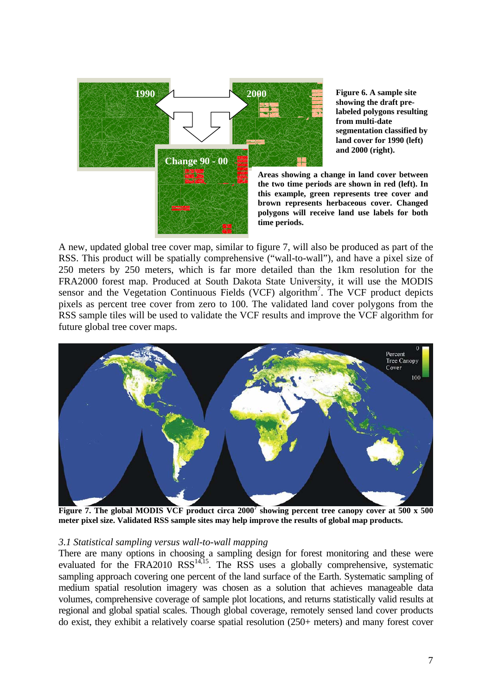<span id="page-12-0"></span>

**Figure 6. A sample site showing the draft prelabeled polygons resulting from multi-date segmentation classified by land cover for 1990 (left) and 2000 (right).** 

**Areas showing a change in land cover between the two time periods are shown in red (left). In this example, green represents tree cover and brown represents herbaceous cover. Changed polygons will receive land use labels for both** 

A new, updated global tree cover map, similar to figure 7, will also be produced as part of the RSS. This product will be spatially comprehensive ("wall-to-wall"), and have a pixel size of 250 meters by 250 meters, which is far more detailed than the 1km resolution for the FRA2000 forest map. Produced at South Dakota State University, it will use the MODIS sensor and the Vegetation Continuous Fields (VCF) algorithm<sup>7</sup>. The VCF product depicts pixels as percent tree cover from zero to 100. The validated land cover polygons from the RSS sample tiles will be used to validate the VCF results and improve the VCF algorithm for future global tree cover maps.



Figure 7. The global MODIS VCF product circa 2000<sup>7</sup> showing percent tree canopy cover at 500 x 500 **meter pixel size. Validated RSS sample sites may help improve the results of global map products.** 

### *3.1 Statistical sampling versus wall-to-wall mapping*

There are many options in choosing a sampling design for forest monitoring and these were evaluated for the FRA2010 RSS<sup>14,15</sup>. The RSS uses a globally comprehensive, systematic sampling approach covering one percent of the land surface of the Earth. Systematic sampling of medium spatial resolution imagery was chosen as a solution that achieves manageable data volumes, comprehensive coverage of sample plot locations, and returns statistically valid results at regional and global spatial scales. Though global coverage, remotely sensed land cover products do exist, they exhibit a relatively coarse spatial resolution (250+ meters) and many forest cover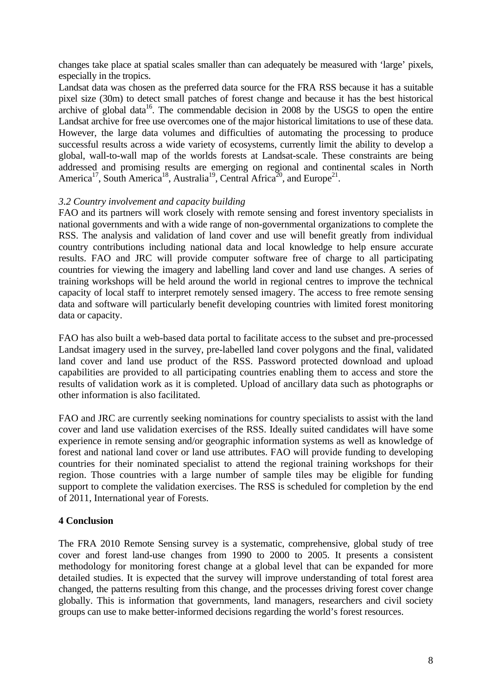<span id="page-13-0"></span>changes take place at spatial scales smaller than can adequately be measured with 'large' pixels, especially in the tropics.

Landsat data was chosen as the preferred data source for the FRA RSS because it has a suitable pixel size (30m) to detect small patches of forest change and because it has the best historical archive of global data<sup>16</sup>. The commendable decision in 2008 by the USGS to open the entire Landsat archive for free use overcomes one of the major historical limitations to use of these data. However, the large data volumes and difficulties of automating the processing to produce successful results across a wide variety of ecosystems, currently limit the ability to develop a global, wall-to-wall map of the worlds forests at Landsat-scale. These constraints are being addressed and promising results are emerging on regional and continental scales in North America<sup>17</sup>, South America<sup>18</sup>, Australia<sup>19</sup>, Central Africa<sup>20</sup>, and Europe<sup>21</sup>.

# *3.2 Country involvement and capacity building*

FAO and its partners will work closely with remote sensing and forest inventory specialists in national governments and with a wide range of non-governmental organizations to complete the RSS. The analysis and validation of land cover and use will benefit greatly from individual country contributions including national data and local knowledge to help ensure accurate results. FAO and JRC will provide computer software free of charge to all participating countries for viewing the imagery and labelling land cover and land use changes. A series of training workshops will be held around the world in regional centres to improve the technical capacity of local staff to interpret remotely sensed imagery. The access to free remote sensing data and software will particularly benefit developing countries with limited forest monitoring data or capacity.

FAO has also built a web-based data portal to facilitate access to the subset and pre-processed Landsat imagery used in the survey, pre-labelled land cover polygons and the final, validated land cover and land use product of the RSS. Password protected download and upload capabilities are provided to all participating countries enabling them to access and store the results of validation work as it is completed. Upload of ancillary data such as photographs or other information is also facilitated.

FAO and JRC are currently seeking nominations for country specialists to assist with the land cover and land use validation exercises of the RSS. Ideally suited candidates will have some experience in remote sensing and/or geographic information systems as well as knowledge of forest and national land cover or land use attributes. FAO will provide funding to developing countries for their nominated specialist to attend the regional training workshops for their region. Those countries with a large number of sample tiles may be eligible for funding support to complete the validation exercises. The RSS is scheduled for completion by the end of 2011, International year of Forests.

# **4 Conclusion**

The FRA 2010 Remote Sensing survey is a systematic, comprehensive, global study of tree cover and forest land-use changes from 1990 to 2000 to 2005. It presents a consistent methodology for monitoring forest change at a global level that can be expanded for more detailed studies. It is expected that the survey will improve understanding of total forest area changed, the patterns resulting from this change, and the processes driving forest cover change globally. This is information that governments, land managers, researchers and civil society groups can use to make better-informed decisions regarding the world's forest resources.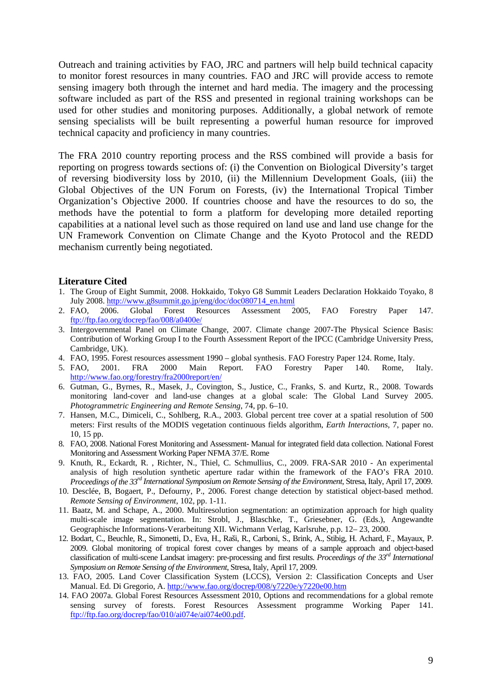<span id="page-14-0"></span>Outreach and training activities by FAO, JRC and partners will help build technical capacity to monitor forest resources in many countries. FAO and JRC will provide access to remote sensing imagery both through the internet and hard media. The imagery and the processing software included as part of the RSS and presented in regional training workshops can be used for other studies and monitoring purposes. Additionally, a global network of remote sensing specialists will be built representing a powerful human resource for improved technical capacity and proficiency in many countries.

The FRA 2010 country reporting process and the RSS combined will provide a basis for reporting on progress towards sections of: (i) the Convention on Biological Diversity's target of reversing biodiversity loss by 2010, (ii) the Millennium Development Goals, (iii) the Global Objectives of the UN Forum on Forests, (iv) the International Tropical Timber Organization's Objective 2000. If countries choose and have the resources to do so, the methods have the potential to form a platform for developing more detailed reporting capabilities at a national level such as those required on land use and land use change for the UN Framework Convention on Climate Change and the Kyoto Protocol and the REDD mechanism currently being negotiated.

#### **Literature Cited**

- 1. The Group of Eight Summit, 2008. Hokkaido, Tokyo G8 Summit Leaders Declaration Hokkaido Toyako, 8 July 2008. [http://www.g8summit.go.jp/eng/doc/doc080714\\_en.html](http://www.g8summit.go.jp/eng/doc/doc080714__en.html)
- 2. FAO, 2006. Global Forest Resources Assessment 2005, FAO Forestry Paper 147. <ftp://ftp.fao.org/docrep/fao/008/a0400e/>
- 3. Intergovernmental Panel on Climate Change, 2007. Climate change 2007-The Physical Science Basis: Contribution of Working Group I to the Fourth Assessment Report of the IPCC (Cambridge University Press, Cambridge, UK).
- 4. FAO, 1995. Forest resources assessment 1990 global synthesis. FAO Forestry Paper 124. Rome, Italy.
- 5. FAO, 2001. FRA 2000 Main Report. FAO Forestry Paper 140. Rome, Italy. <http://www.fao.org/forestry/fra2000report/en/>
- 6. Gutman, G., Byrnes, R., Masek, J., Covington, S., Justice, C., Franks, S. and Kurtz, R., 2008. Towards monitoring land-cover and land-use changes at a global scale: The Global Land Survey 2005. *Photogrammetric Engineering and Remote Sensing*, 74, pp. 6–10.
- 7. Hansen, M.C., Dimiceli, C., Sohlberg, R.A., 2003. Global percent tree cover at a spatial resolution of 500 meters: First results of the MODIS vegetation continuous fields algorithm, *Earth Interactions*, 7, paper no. 10, 15 pp.
- 8. FAO, 2008. National Forest Monitoring and Assessment- Manual for integrated field data collection. National Forest Monitoring and Assessment Working Paper NFMA 37/E. Rome
- 9. Knuth, R., Eckardt, R. , Richter, N., Thiel, C. Schmullius, C., 2009. FRA-SAR 2010 An experimental analysis of high resolution synthetic aperture radar within the framework of the FAO's FRA 2010. *Proceedings of the 33rd International Symposium on Remote Sensing of the Environment*, Stresa, Italy, April 17, 2009.
- 10. Desclée, B, Bogaert, P., Defourny, P., 2006. Forest change detection by statistical object-based method. *Remote Sensing of Environment*, 102, pp. 1-11.
- 11. Baatz, M. and Schape, A., 2000. Multiresolution segmentation: an optimization approach for high quality multi-scale image segmentation. In: Strobl, J., Blaschke, T., Griesebner, G. (Eds.), Angewandte Geographische Informations-Verarbeitung XII. Wichmann Verlag, Karlsruhe, p.p. 12– 23, 2000.
- 12. Bodart, C., Beuchle, R., Simonetti, D., Eva, H., Raši, R., Carboni, S., Brink, A., Stibig, H. Achard, F., Mayaux, P. 2009. Global monitoring of tropical forest cover changes by means of a sample approach and object-based classification of multi-scene Landsat imagery: pre-processing and first results. *Proceedings of the 33rd International Symposium on Remote Sensing of the Environment*, Stresa, Italy, April 17, 2009.
- 13. FAO, 2005. Land Cover Classification System (LCCS), Version 2: Classification Concepts and User Manual. Ed. Di Gregorio, A. <http://www.fao.org/docrep/008/y7220e/y7220e00.htm>
- 14. FAO 2007a. Global Forest Resources Assessment 2010, Options and recommendations for a global remote sensing survey of forests. Forest Resources Assessment programme Working Paper 141. [ftp://ftp.fao.org/docrep/fao/010/ai074e/ai074e00.pdf.](ftp://ftp.fao.org/docrep/fao/010/ai074e/ai074e00.pdf)